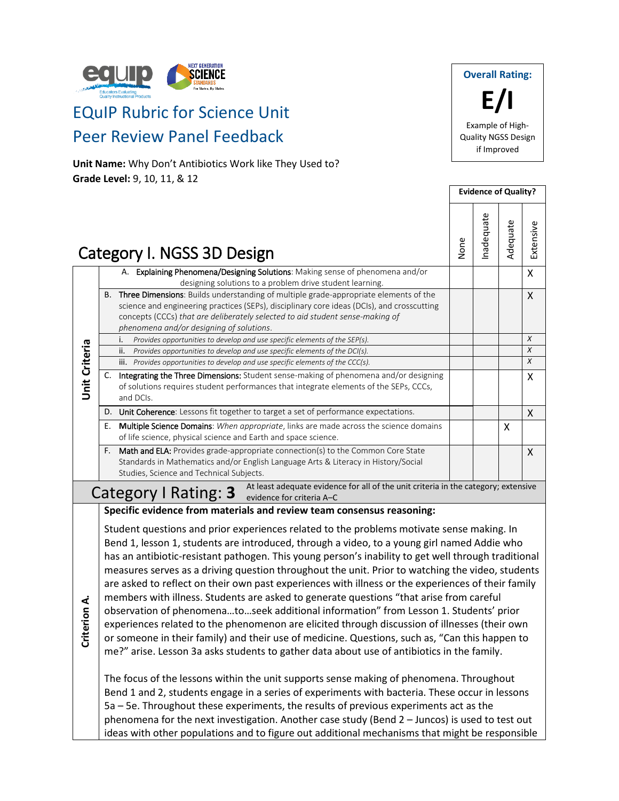

# EQuIP Rubric for Science Unit Peer Review Panel Feedback

**Unit Name:** Why Don't Antibiotics Work like They Used to? **Grade Level:** 9, 10, 11, & 12



|                                                                                                                                         |    |                                                                                                                                                                                                                                                                                                                        |      | <b>Evidence of Quality?</b> |          |                  |  |
|-----------------------------------------------------------------------------------------------------------------------------------------|----|------------------------------------------------------------------------------------------------------------------------------------------------------------------------------------------------------------------------------------------------------------------------------------------------------------------------|------|-----------------------------|----------|------------------|--|
|                                                                                                                                         |    | Category I. NGSS 3D Design                                                                                                                                                                                                                                                                                             | None | nadequate                   | Adequate | Extensive        |  |
|                                                                                                                                         |    | A. Explaining Phenomena/Designing Solutions: Making sense of phenomena and/or<br>designing solutions to a problem drive student learning.                                                                                                                                                                              |      |                             |          | X                |  |
|                                                                                                                                         | B. | <b>Three Dimensions:</b> Builds understanding of multiple grade-appropriate elements of the<br>science and engineering practices (SEPs), disciplinary core ideas (DCIs), and crosscutting<br>concepts (CCCs) that are deliberately selected to aid student sense-making of<br>phenomena and/or designing of solutions. |      |                             |          | X                |  |
|                                                                                                                                         |    | Provides opportunities to develop and use specific elements of the SEP(s).<br>i.                                                                                                                                                                                                                                       |      |                             |          | $\boldsymbol{x}$ |  |
|                                                                                                                                         |    | Provides opportunities to develop and use specific elements of the DCI(s).<br>ii.                                                                                                                                                                                                                                      |      |                             |          | X                |  |
|                                                                                                                                         |    | iii. Provides opportunities to develop and use specific elements of the CCC(s).                                                                                                                                                                                                                                        |      |                             |          | X                |  |
| <b>Unit Criteria</b>                                                                                                                    | C. | Integrating the Three Dimensions: Student sense-making of phenomena and/or designing<br>of solutions requires student performances that integrate elements of the SEPs, CCCs,<br>and DCIs.                                                                                                                             |      |                             |          | Χ                |  |
|                                                                                                                                         | D. | Unit Coherence: Lessons fit together to target a set of performance expectations.                                                                                                                                                                                                                                      |      |                             |          | X                |  |
|                                                                                                                                         | Ε. | <b>Multiple Science Domains:</b> When appropriate, links are made across the science domains<br>of life science, physical science and Earth and space science.                                                                                                                                                         |      |                             | X        |                  |  |
|                                                                                                                                         | F. | <b>Math and ELA:</b> Provides grade-appropriate connection(s) to the Common Core State<br>Standards in Mathematics and/or English Language Arts & Literacy in History/Social<br>Studies, Science and Technical Subjects.                                                                                               |      |                             |          | X                |  |
| At least adequate evidence for all of the unit criteria in the category; extensive<br>Category   Rating: 3<br>evidence for criteria A-C |    |                                                                                                                                                                                                                                                                                                                        |      |                             |          |                  |  |

**Specific evidence from materials and review team consensus reasoning:**

Student questions and prior experiences related to the problems motivate sense making. In Bend 1, lesson 1, students are introduced, through a video, to a young girl named Addie who has an antibiotic-resistant pathogen. This young person's inability to get well through traditional measures serves as a driving question throughout the unit. Prior to watching the video, students are asked to reflect on their own past experiences with illness or the experiences of their family members with illness. Students are asked to generate questions "that arise from careful observation of phenomena…to…seek additional information" from Lesson 1. Students' prior

**Criterion A.**

me?" arise. Lesson 3a asks students to gather data about use of antibiotics in the family. The focus of the lessons within the unit supports sense making of phenomena. Throughout Bend 1 and 2, students engage in a series of experiments with bacteria. These occur in lessons 5a – 5e. Throughout these experiments, the results of previous experiments act as the phenomena for the next investigation. Another case study (Bend 2 – Juncos) is used to test out

experiences related to the phenomenon are elicited through discussion of illnesses (their own or someone in their family) and their use of medicine. Questions, such as, "Can this happen to

ideas with other populations and to figure out additional mechanisms that might be responsible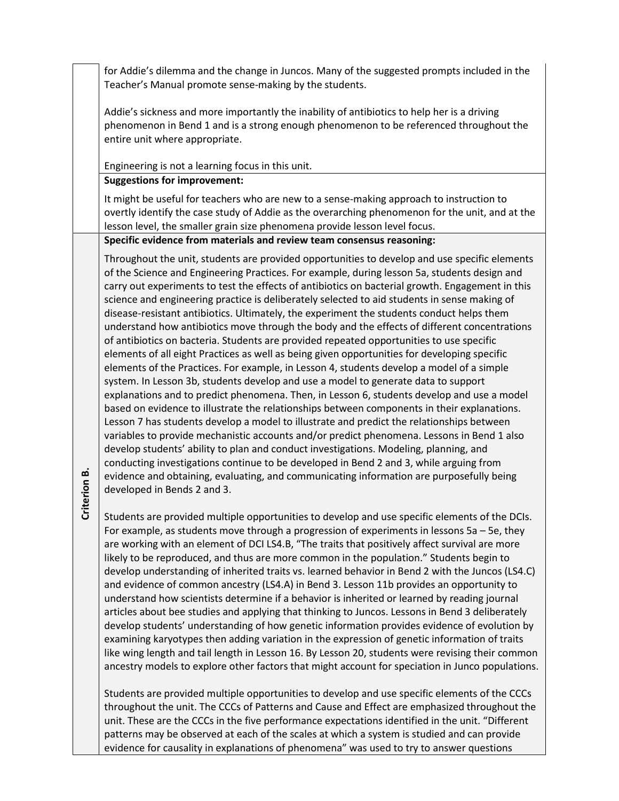for Addie's dilemma and the change in Juncos. Many of the suggested prompts included in the Teacher's Manual promote sense-making by the students.

Addie's sickness and more importantly the inability of antibiotics to help her is a driving phenomenon in Bend 1 and is a strong enough phenomenon to be referenced throughout the entire unit where appropriate.

Engineering is not a learning focus in this unit.

**Suggestions for improvement:**

It might be useful for teachers who are new to a sense-making approach to instruction to overtly identify the case study of Addie as the overarching phenomenon for the unit, and at the lesson level, the smaller grain size phenomena provide lesson level focus.

**Specific evidence from materials and review team consensus reasoning:**

Throughout the unit, students are provided opportunities to develop and use specific elements of the Science and Engineering Practices. For example, during lesson 5a, students design and carry out experiments to test the effects of antibiotics on bacterial growth. Engagement in this science and engineering practice is deliberately selected to aid students in sense making of disease-resistant antibiotics. Ultimately, the experiment the students conduct helps them understand how antibiotics move through the body and the effects of different concentrations of antibiotics on bacteria. Students are provided repeated opportunities to use specific elements of all eight Practices as well as being given opportunities for developing specific elements of the Practices. For example, in Lesson 4, students develop a model of a simple system. In Lesson 3b, students develop and use a model to generate data to support explanations and to predict phenomena. Then, in Lesson 6, students develop and use a model based on evidence to illustrate the relationships between components in their explanations. Lesson 7 has students develop a model to illustrate and predict the relationships between variables to provide mechanistic accounts and/or predict phenomena. Lessons in Bend 1 also develop students' ability to plan and conduct investigations. Modeling, planning, and conducting investigations continue to be developed in Bend 2 and 3, while arguing from evidence and obtaining, evaluating, and communicating information are purposefully being developed in Bends 2 and 3.

**Criterion**  <u>ക്</u>

Students are provided multiple opportunities to develop and use specific elements of the DCIs. For example, as students move through a progression of experiments in lessons 5a – 5e, they are working with an element of DCI LS4.B, "The traits that positively affect survival are more likely to be reproduced, and thus are more common in the population." Students begin to develop understanding of inherited traits vs. learned behavior in Bend 2 with the Juncos (LS4.C) and evidence of common ancestry (LS4.A) in Bend 3. Lesson 11b provides an opportunity to understand how scientists determine if a behavior is inherited or learned by reading journal articles about bee studies and applying that thinking to Juncos. Lessons in Bend 3 deliberately develop students' understanding of how genetic information provides evidence of evolution by examining karyotypes then adding variation in the expression of genetic information of traits like wing length and tail length in Lesson 16. By Lesson 20, students were revising their common ancestry models to explore other factors that might account for speciation in Junco populations.

Students are provided multiple opportunities to develop and use specific elements of the CCCs throughout the unit. The CCCs of Patterns and Cause and Effect are emphasized throughout the unit. These are the CCCs in the five performance expectations identified in the unit. "Different patterns may be observed at each of the scales at which a system is studied and can provide evidence for causality in explanations of phenomena" was used to try to answer questions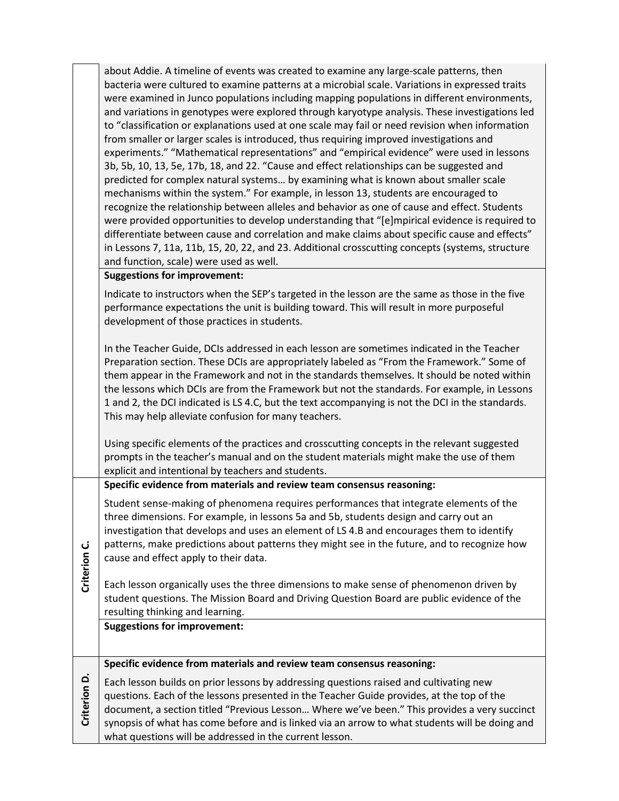| about Addie. A timeline of events was created to examine any large-scale patterns, then          |
|--------------------------------------------------------------------------------------------------|
| bacteria were cultured to examine patterns at a microbial scale. Variations in expressed traits  |
| were examined in Junco populations including mapping populations in different environments,      |
| and variations in genotypes were explored through karyotype analysis. These investigations led   |
| to "classification or explanations used at one scale may fail or need revision when information  |
| from smaller or larger scales is introduced, thus requiring improved investigations and          |
| experiments." "Mathematical representations" and "empirical evidence" were used in lessons       |
| 3b, 5b, 10, 13, 5e, 17b, 18, and 22. "Cause and effect relationships can be suggested and        |
| predicted for complex natural systems by examining what is known about smaller scale             |
| mechanisms within the system." For example, in lesson 13, students are encouraged to             |
| recognize the relationship between alleles and behavior as one of cause and effect. Students     |
| were provided opportunities to develop understanding that "[e]mpirical evidence is required to   |
| differentiate between cause and correlation and make claims about specific cause and effects"    |
| in Lessons 7, 11a, 11b, 15, 20, 22, and 23. Additional crosscutting concepts (systems, structure |
| and function, scale) were used as well.                                                          |
| Currentless for Immunicum anti-                                                                  |

### **Suggestions for improvement:**

Indicate to instructors when the SEP's targeted in the lesson are the same as those in the five performance expectations the unit is building toward. This will result in more purposeful development of those practices in students.

In the Teacher Guide, DCIs addressed in each lesson are sometimes indicated in the Teacher Preparation section. These DCIs are appropriately labeled as "From the Framework." Some of them appear in the Framework and not in the standards themselves. It should be noted within the lessons which DCIs are from the Framework but not the standards. For example, in Lessons 1 and 2, the DCI indicated is LS 4.C, but the text accompanying is not the DCI in the standards. This may help alleviate confusion for many teachers.

Using specific elements of the practices and crosscutting concepts in the relevant suggested prompts in the teacher's manual and on the student materials might make the use of them explicit and intentional by teachers and students.

**Specific evidence from materials and review team consensus reasoning:**

Student sense-making of phenomena requires performances that integrate elements of the three dimensions. For example, in lessons 5a and 5b, students design and carry out an investigation that develops and uses an element of LS 4.B and encourages them to identify patterns, make predictions about patterns they might see in the future, and to recognize how cause and effect apply to their data.

Each lesson organically uses the three dimensions to make sense of phenomenon driven by student questions. The Mission Board and Driving Question Board are public evidence of the resulting thinking and learning.

**Suggestions for improvement:**

**Criterion** 

**C.**

## **Specific evidence from materials and review team consensus reasoning:**

**Criterion D.** Each lesson builds on prior lessons by addressing questions raised and cultivating new questions. Each of the lessons presented in the Teacher Guide provides, at the top of the document, a section titled "Previous Lesson… Where we've been." This provides a very succinct synopsis of what has come before and is linked via an arrow to what students will be doing and what questions will be addressed in the current lesson.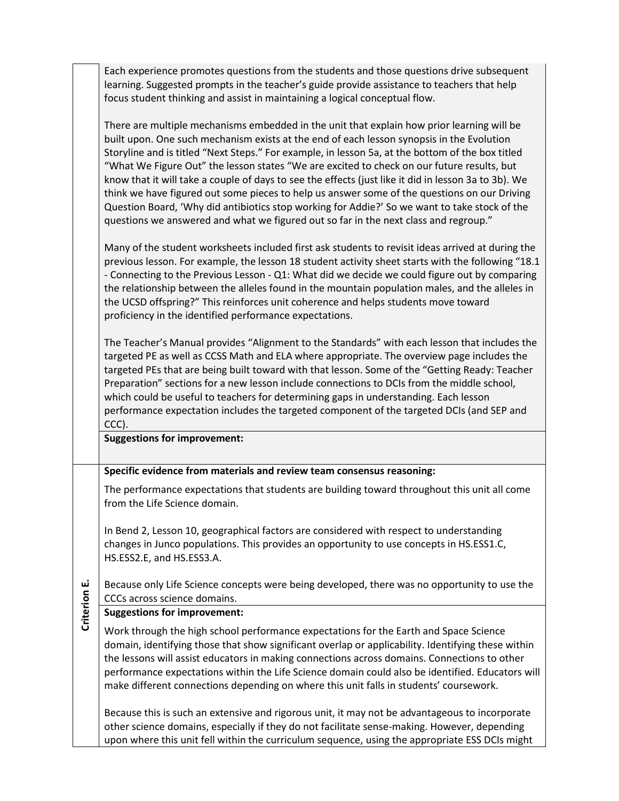Each experience promotes questions from the students and those questions drive subsequent learning. Suggested prompts in the teacher's guide provide assistance to teachers that help focus student thinking and assist in maintaining a logical conceptual flow.

There are multiple mechanisms embedded in the unit that explain how prior learning will be built upon. One such mechanism exists at the end of each lesson synopsis in the Evolution Storyline and is titled "Next Steps." For example, in lesson 5a, at the bottom of the box titled "What We Figure Out" the lesson states "We are excited to check on our future results, but know that it will take a couple of days to see the effects (just like it did in lesson 3a to 3b). We think we have figured out some pieces to help us answer some of the questions on our Driving Question Board, 'Why did antibiotics stop working for Addie?' So we want to take stock of the questions we answered and what we figured out so far in the next class and regroup."

Many of the student worksheets included first ask students to revisit ideas arrived at during the previous lesson. For example, the lesson 18 student activity sheet starts with the following "18.1 - Connecting to the Previous Lesson - Q1: What did we decide we could figure out by comparing the relationship between the alleles found in the mountain population males, and the alleles in the UCSD offspring?" This reinforces unit coherence and helps students move toward proficiency in the identified performance expectations.

The Teacher's Manual provides "Alignment to the Standards" with each lesson that includes the targeted PE as well as CCSS Math and ELA where appropriate. The overview page includes the targeted PEs that are being built toward with that lesson. Some of the "Getting Ready: Teacher Preparation" sections for a new lesson include connections to DCIs from the middle school, which could be useful to teachers for determining gaps in understanding. Each lesson performance expectation includes the targeted component of the targeted DCIs (and SEP and CCC).

#### **Suggestions for improvement:**

#### **Specific evidence from materials and review team consensus reasoning:**

The performance expectations that students are building toward throughout this unit all come from the Life Science domain.

In Bend 2, Lesson 10, geographical factors are considered with respect to understanding changes in Junco populations. This provides an opportunity to use concepts in HS.ESS1.C, HS.ESS2.E, and HS.ESS3.A.

**Criterion E.** Because only Life Science concepts were being developed, there was no opportunity to use the CCCs across science domains.

#### **Suggestions for improvement:**

Work through the high school performance expectations for the Earth and Space Science domain, identifying those that show significant overlap or applicability. Identifying these within the lessons will assist educators in making connections across domains. Connections to other performance expectations within the Life Science domain could also be identified. Educators will make different connections depending on where this unit falls in students' coursework.

Because this is such an extensive and rigorous unit, it may not be advantageous to incorporate other science domains, especially if they do not facilitate sense-making. However, depending upon where this unit fell within the curriculum sequence, using the appropriate ESS DCIs might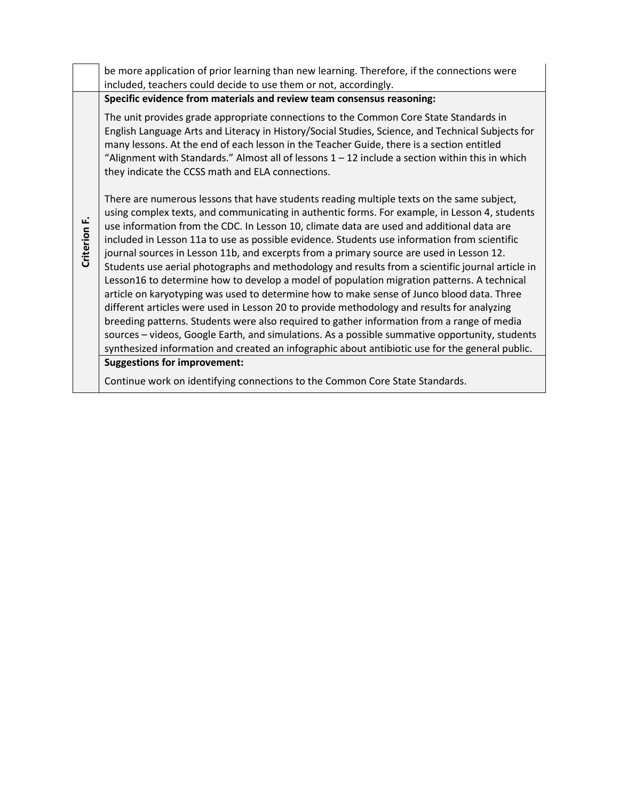|              | be more application of prior learning than new learning. Therefore, if the connections were<br>included, teachers could decide to use them or not, accordingly.                                                                                                                                                                                                                                                                                                                                                                                                                                                                                                                                                                                                                                                                                                                                                                                                                                                                                                                                                                                                                                                            |
|--------------|----------------------------------------------------------------------------------------------------------------------------------------------------------------------------------------------------------------------------------------------------------------------------------------------------------------------------------------------------------------------------------------------------------------------------------------------------------------------------------------------------------------------------------------------------------------------------------------------------------------------------------------------------------------------------------------------------------------------------------------------------------------------------------------------------------------------------------------------------------------------------------------------------------------------------------------------------------------------------------------------------------------------------------------------------------------------------------------------------------------------------------------------------------------------------------------------------------------------------|
|              | Specific evidence from materials and review team consensus reasoning:                                                                                                                                                                                                                                                                                                                                                                                                                                                                                                                                                                                                                                                                                                                                                                                                                                                                                                                                                                                                                                                                                                                                                      |
|              | The unit provides grade appropriate connections to the Common Core State Standards in<br>English Language Arts and Literacy in History/Social Studies, Science, and Technical Subjects for<br>many lessons. At the end of each lesson in the Teacher Guide, there is a section entitled<br>"Alignment with Standards." Almost all of lessons $1 - 12$ include a section within this in which<br>they indicate the CCSS math and ELA connections.                                                                                                                                                                                                                                                                                                                                                                                                                                                                                                                                                                                                                                                                                                                                                                           |
| Criterion F. | There are numerous lessons that have students reading multiple texts on the same subject,<br>using complex texts, and communicating in authentic forms. For example, in Lesson 4, students<br>use information from the CDC. In Lesson 10, climate data are used and additional data are<br>included in Lesson 11a to use as possible evidence. Students use information from scientific<br>journal sources in Lesson 11b, and excerpts from a primary source are used in Lesson 12.<br>Students use aerial photographs and methodology and results from a scientific journal article in<br>Lesson16 to determine how to develop a model of population migration patterns. A technical<br>article on karyotyping was used to determine how to make sense of Junco blood data. Three<br>different articles were used in Lesson 20 to provide methodology and results for analyzing<br>breeding patterns. Students were also required to gather information from a range of media<br>sources - videos, Google Earth, and simulations. As a possible summative opportunity, students<br>synthesized information and created an infographic about antibiotic use for the general public.<br><b>Suggestions for improvement:</b> |
|              | Continue work on identifying connections to the Common Core State Standards.                                                                                                                                                                                                                                                                                                                                                                                                                                                                                                                                                                                                                                                                                                                                                                                                                                                                                                                                                                                                                                                                                                                                               |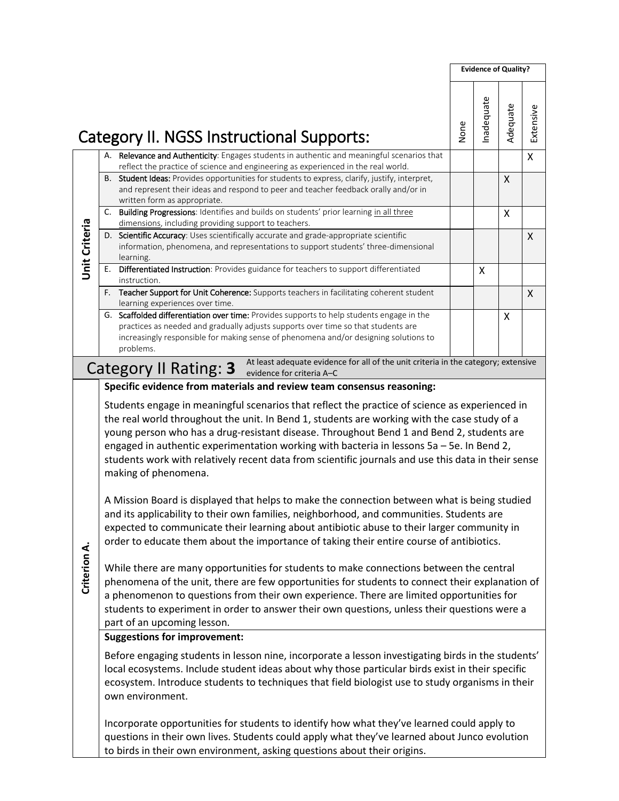|               |                                                                                                                                                                                                                                                                                                                                                                                                                                                                                                                                                                                                                                                                                                                                                                                                                                                                                                                                                                                                                                                                                                                                                                                                                                                                                                                                        |      | <b>Evidence of Quality?</b> |          |           |  |  |
|---------------|----------------------------------------------------------------------------------------------------------------------------------------------------------------------------------------------------------------------------------------------------------------------------------------------------------------------------------------------------------------------------------------------------------------------------------------------------------------------------------------------------------------------------------------------------------------------------------------------------------------------------------------------------------------------------------------------------------------------------------------------------------------------------------------------------------------------------------------------------------------------------------------------------------------------------------------------------------------------------------------------------------------------------------------------------------------------------------------------------------------------------------------------------------------------------------------------------------------------------------------------------------------------------------------------------------------------------------------|------|-----------------------------|----------|-----------|--|--|
|               | Category II. NGSS Instructional Supports:                                                                                                                                                                                                                                                                                                                                                                                                                                                                                                                                                                                                                                                                                                                                                                                                                                                                                                                                                                                                                                                                                                                                                                                                                                                                                              | None | nadequate                   | Adequate | Extensive |  |  |
|               | A. Relevance and Authenticity: Engages students in authentic and meaningful scenarios that<br>reflect the practice of science and engineering as experienced in the real world.                                                                                                                                                                                                                                                                                                                                                                                                                                                                                                                                                                                                                                                                                                                                                                                                                                                                                                                                                                                                                                                                                                                                                        |      |                             |          | X         |  |  |
|               | B. Student Ideas: Provides opportunities for students to express, clarify, justify, interpret,<br>and represent their ideas and respond to peer and teacher feedback orally and/or in<br>written form as appropriate.                                                                                                                                                                                                                                                                                                                                                                                                                                                                                                                                                                                                                                                                                                                                                                                                                                                                                                                                                                                                                                                                                                                  |      |                             | $\times$ |           |  |  |
|               | C. Building Progressions: Identifies and builds on students' prior learning in all three<br>dimensions, including providing support to teachers.                                                                                                                                                                                                                                                                                                                                                                                                                                                                                                                                                                                                                                                                                                                                                                                                                                                                                                                                                                                                                                                                                                                                                                                       |      |                             | X        |           |  |  |
| Unit Criteria | D. Scientific Accuracy: Uses scientifically accurate and grade-appropriate scientific<br>information, phenomena, and representations to support students' three-dimensional<br>learning.                                                                                                                                                                                                                                                                                                                                                                                                                                                                                                                                                                                                                                                                                                                                                                                                                                                                                                                                                                                                                                                                                                                                               |      |                             |          | X         |  |  |
|               | Differentiated Instruction: Provides guidance for teachers to support differentiated<br>Е.<br>instruction.                                                                                                                                                                                                                                                                                                                                                                                                                                                                                                                                                                                                                                                                                                                                                                                                                                                                                                                                                                                                                                                                                                                                                                                                                             |      | X                           |          |           |  |  |
|               | Teacher Support for Unit Coherence: Supports teachers in facilitating coherent student<br>F.<br>learning experiences over time.                                                                                                                                                                                                                                                                                                                                                                                                                                                                                                                                                                                                                                                                                                                                                                                                                                                                                                                                                                                                                                                                                                                                                                                                        |      |                             |          | X         |  |  |
|               | G. Scaffolded differentiation over time: Provides supports to help students engage in the<br>practices as needed and gradually adjusts supports over time so that students are<br>increasingly responsible for making sense of phenomena and/or designing solutions to<br>problems.                                                                                                                                                                                                                                                                                                                                                                                                                                                                                                                                                                                                                                                                                                                                                                                                                                                                                                                                                                                                                                                    |      |                             | X        |           |  |  |
|               | At least adequate evidence for all of the unit criteria in the category; extensive<br>Category II Rating: 3<br>evidence for criteria A-C                                                                                                                                                                                                                                                                                                                                                                                                                                                                                                                                                                                                                                                                                                                                                                                                                                                                                                                                                                                                                                                                                                                                                                                               |      |                             |          |           |  |  |
| Criterion A.  | Students engage in meaningful scenarios that reflect the practice of science as experienced in<br>the real world throughout the unit. In Bend 1, students are working with the case study of a<br>young person who has a drug-resistant disease. Throughout Bend 1 and Bend 2, students are<br>engaged in authentic experimentation working with bacteria in lessons 5a - 5e. In Bend 2,<br>students work with relatively recent data from scientific journals and use this data in their sense<br>making of phenomena.<br>A Mission Board is displayed that helps to make the connection between what is being studied<br>and its applicability to their own families, neighborhood, and communities. Students are<br>expected to communicate their learning about antibiotic abuse to their larger community in<br>order to educate them about the importance of taking their entire course of antibiotics.<br>While there are many opportunities for students to make connections between the central<br>phenomena of the unit, there are few opportunities for students to connect their explanation of<br>a phenomenon to questions from their own experience. There are limited opportunities for<br>students to experiment in order to answer their own questions, unless their questions were a<br>part of an upcoming lesson. |      |                             |          |           |  |  |
|               | <b>Suggestions for improvement:</b><br>Before engaging students in lesson nine, incorporate a lesson investigating birds in the students'<br>local ecosystems. Include student ideas about why those particular birds exist in their specific<br>ecosystem. Introduce students to techniques that field biologist use to study organisms in their<br>own environment.<br>Incorporate opportunities for students to identify how what they've learned could apply to<br>questions in their own lives. Students could apply what they've learned about Junco evolution<br>to birds in their own environment, asking questions about their origins.                                                                                                                                                                                                                                                                                                                                                                                                                                                                                                                                                                                                                                                                                       |      |                             |          |           |  |  |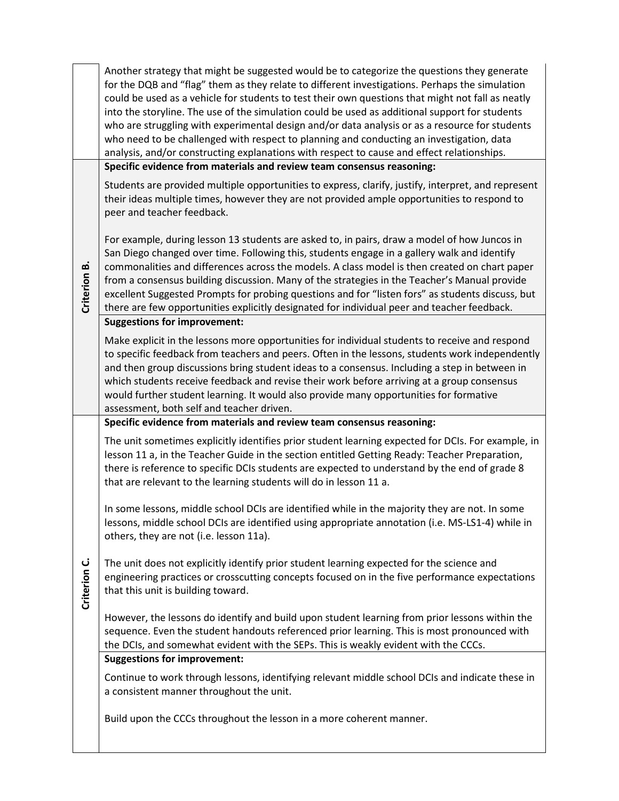|              | Another strategy that might be suggested would be to categorize the questions they generate<br>for the DQB and "flag" them as they relate to different investigations. Perhaps the simulation<br>could be used as a vehicle for students to test their own questions that might not fall as neatly<br>into the storyline. The use of the simulation could be used as additional support for students<br>who are struggling with experimental design and/or data analysis or as a resource for students<br>who need to be challenged with respect to planning and conducting an investigation, data<br>analysis, and/or constructing explanations with respect to cause and effect relationships. |
|--------------|--------------------------------------------------------------------------------------------------------------------------------------------------------------------------------------------------------------------------------------------------------------------------------------------------------------------------------------------------------------------------------------------------------------------------------------------------------------------------------------------------------------------------------------------------------------------------------------------------------------------------------------------------------------------------------------------------|
|              | Specific evidence from materials and review team consensus reasoning:                                                                                                                                                                                                                                                                                                                                                                                                                                                                                                                                                                                                                            |
|              | Students are provided multiple opportunities to express, clarify, justify, interpret, and represent<br>their ideas multiple times, however they are not provided ample opportunities to respond to<br>peer and teacher feedback.                                                                                                                                                                                                                                                                                                                                                                                                                                                                 |
| Criterion B. | For example, during lesson 13 students are asked to, in pairs, draw a model of how Juncos in<br>San Diego changed over time. Following this, students engage in a gallery walk and identify<br>commonalities and differences across the models. A class model is then created on chart paper<br>from a consensus building discussion. Many of the strategies in the Teacher's Manual provide<br>excellent Suggested Prompts for probing questions and for "listen fors" as students discuss, but<br>there are few opportunities explicitly designated for individual peer and teacher feedback.                                                                                                  |
|              | <b>Suggestions for improvement:</b>                                                                                                                                                                                                                                                                                                                                                                                                                                                                                                                                                                                                                                                              |
|              | Make explicit in the lessons more opportunities for individual students to receive and respond<br>to specific feedback from teachers and peers. Often in the lessons, students work independently<br>and then group discussions bring student ideas to a consensus. Including a step in between in<br>which students receive feedback and revise their work before arriving at a group consensus<br>would further student learning. It would also provide many opportunities for formative<br>assessment, both self and teacher driven.                                                                                                                                                          |
|              | Specific evidence from materials and review team consensus reasoning:                                                                                                                                                                                                                                                                                                                                                                                                                                                                                                                                                                                                                            |
|              | The unit sometimes explicitly identifies prior student learning expected for DCIs. For example, in<br>lesson 11 a, in the Teacher Guide in the section entitled Getting Ready: Teacher Preparation,<br>there is reference to specific DCIs students are expected to understand by the end of grade 8<br>that are relevant to the learning students will do in lesson 11 a.                                                                                                                                                                                                                                                                                                                       |
|              | In some lessons, middle school DCIs are identified while in the majority they are not. In some<br>lessons, middle school DCIs are identified using appropriate annotation (i.e. MS-LS1-4) while in<br>others, they are not (i.e. lesson 11a).                                                                                                                                                                                                                                                                                                                                                                                                                                                    |
| Criterion C. | The unit does not explicitly identify prior student learning expected for the science and<br>engineering practices or crosscutting concepts focused on in the five performance expectations<br>that this unit is building toward.                                                                                                                                                                                                                                                                                                                                                                                                                                                                |
|              | However, the lessons do identify and build upon student learning from prior lessons within the<br>sequence. Even the student handouts referenced prior learning. This is most pronounced with<br>the DCIs, and somewhat evident with the SEPs. This is weakly evident with the CCCs.                                                                                                                                                                                                                                                                                                                                                                                                             |
|              | <b>Suggestions for improvement:</b>                                                                                                                                                                                                                                                                                                                                                                                                                                                                                                                                                                                                                                                              |
|              | Continue to work through lessons, identifying relevant middle school DCIs and indicate these in<br>a consistent manner throughout the unit.                                                                                                                                                                                                                                                                                                                                                                                                                                                                                                                                                      |
|              | Build upon the CCCs throughout the lesson in a more coherent manner.                                                                                                                                                                                                                                                                                                                                                                                                                                                                                                                                                                                                                             |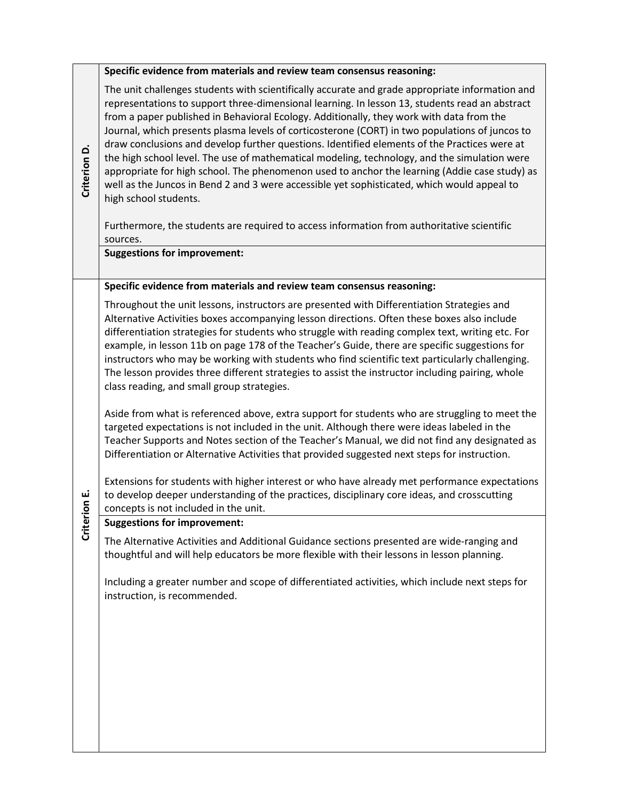|              | Specific evidence from materials and review team consensus reasoning:                                                                                                                                                                                                                                                                                                                                                                                                                                                                                                                                                                                                                                                                                                                                                                                                                                                                                                     |
|--------------|---------------------------------------------------------------------------------------------------------------------------------------------------------------------------------------------------------------------------------------------------------------------------------------------------------------------------------------------------------------------------------------------------------------------------------------------------------------------------------------------------------------------------------------------------------------------------------------------------------------------------------------------------------------------------------------------------------------------------------------------------------------------------------------------------------------------------------------------------------------------------------------------------------------------------------------------------------------------------|
| Criterion D. | The unit challenges students with scientifically accurate and grade appropriate information and<br>representations to support three-dimensional learning. In lesson 13, students read an abstract<br>from a paper published in Behavioral Ecology. Additionally, they work with data from the<br>Journal, which presents plasma levels of corticosterone (CORT) in two populations of juncos to<br>draw conclusions and develop further questions. Identified elements of the Practices were at<br>the high school level. The use of mathematical modeling, technology, and the simulation were<br>appropriate for high school. The phenomenon used to anchor the learning (Addie case study) as<br>well as the Juncos in Bend 2 and 3 were accessible yet sophisticated, which would appeal to<br>high school students.<br>Furthermore, the students are required to access information from authoritative scientific<br>sources.<br><b>Suggestions for improvement:</b> |
|              | Specific evidence from materials and review team consensus reasoning:                                                                                                                                                                                                                                                                                                                                                                                                                                                                                                                                                                                                                                                                                                                                                                                                                                                                                                     |
|              | Throughout the unit lessons, instructors are presented with Differentiation Strategies and<br>Alternative Activities boxes accompanying lesson directions. Often these boxes also include<br>differentiation strategies for students who struggle with reading complex text, writing etc. For<br>example, in lesson 11b on page 178 of the Teacher's Guide, there are specific suggestions for<br>instructors who may be working with students who find scientific text particularly challenging.<br>The lesson provides three different strategies to assist the instructor including pairing, whole<br>class reading, and small group strategies.                                                                                                                                                                                                                                                                                                                       |
|              | Aside from what is referenced above, extra support for students who are struggling to meet the<br>targeted expectations is not included in the unit. Although there were ideas labeled in the<br>Teacher Supports and Notes section of the Teacher's Manual, we did not find any designated as<br>Differentiation or Alternative Activities that provided suggested next steps for instruction.<br>Extensions for students with higher interest or who have already met performance expectations                                                                                                                                                                                                                                                                                                                                                                                                                                                                          |
| rion E.      | to develop deeper understanding of the practices, disciplinary core ideas, and crosscutting<br>concepts is not included in the unit.                                                                                                                                                                                                                                                                                                                                                                                                                                                                                                                                                                                                                                                                                                                                                                                                                                      |
| Criter       | <b>Suggestions for improvement:</b>                                                                                                                                                                                                                                                                                                                                                                                                                                                                                                                                                                                                                                                                                                                                                                                                                                                                                                                                       |
|              | The Alternative Activities and Additional Guidance sections presented are wide-ranging and<br>thoughtful and will help educators be more flexible with their lessons in lesson planning.                                                                                                                                                                                                                                                                                                                                                                                                                                                                                                                                                                                                                                                                                                                                                                                  |
|              | Including a greater number and scope of differentiated activities, which include next steps for<br>instruction, is recommended.                                                                                                                                                                                                                                                                                                                                                                                                                                                                                                                                                                                                                                                                                                                                                                                                                                           |
|              |                                                                                                                                                                                                                                                                                                                                                                                                                                                                                                                                                                                                                                                                                                                                                                                                                                                                                                                                                                           |
|              |                                                                                                                                                                                                                                                                                                                                                                                                                                                                                                                                                                                                                                                                                                                                                                                                                                                                                                                                                                           |
|              |                                                                                                                                                                                                                                                                                                                                                                                                                                                                                                                                                                                                                                                                                                                                                                                                                                                                                                                                                                           |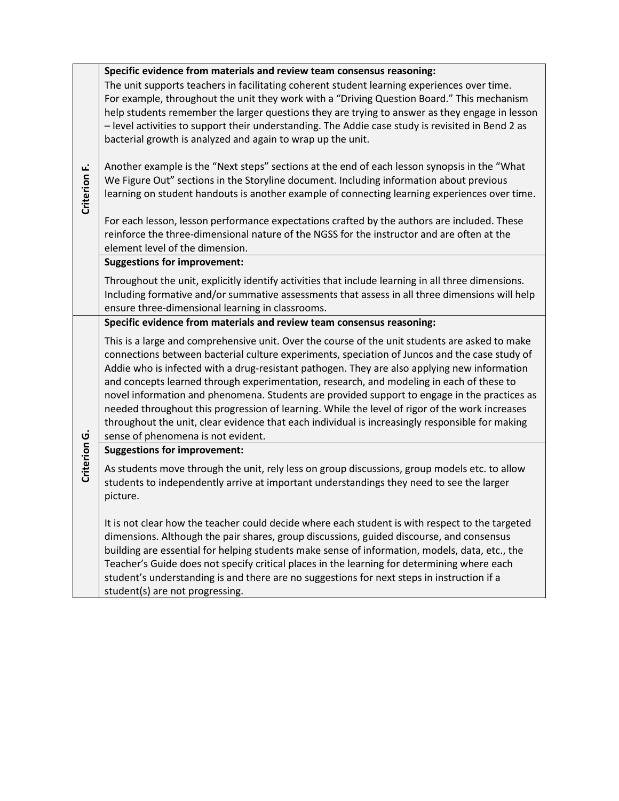|              | Specific evidence from materials and review team consensus reasoning:<br>The unit supports teachers in facilitating coherent student learning experiences over time.<br>For example, throughout the unit they work with a "Driving Question Board." This mechanism<br>help students remember the larger questions they are trying to answer as they engage in lesson<br>- level activities to support their understanding. The Addie case study is revisited in Bend 2 as<br>bacterial growth is analyzed and again to wrap up the unit.                                                                                                                                                                                               |
|--------------|----------------------------------------------------------------------------------------------------------------------------------------------------------------------------------------------------------------------------------------------------------------------------------------------------------------------------------------------------------------------------------------------------------------------------------------------------------------------------------------------------------------------------------------------------------------------------------------------------------------------------------------------------------------------------------------------------------------------------------------|
| Criterion F. | Another example is the "Next steps" sections at the end of each lesson synopsis in the "What<br>We Figure Out" sections in the Storyline document. Including information about previous<br>learning on student handouts is another example of connecting learning experiences over time.                                                                                                                                                                                                                                                                                                                                                                                                                                               |
|              | For each lesson, lesson performance expectations crafted by the authors are included. These<br>reinforce the three-dimensional nature of the NGSS for the instructor and are often at the<br>element level of the dimension.                                                                                                                                                                                                                                                                                                                                                                                                                                                                                                           |
|              | <b>Suggestions for improvement:</b>                                                                                                                                                                                                                                                                                                                                                                                                                                                                                                                                                                                                                                                                                                    |
|              | Throughout the unit, explicitly identify activities that include learning in all three dimensions.<br>Including formative and/or summative assessments that assess in all three dimensions will help<br>ensure three-dimensional learning in classrooms.                                                                                                                                                                                                                                                                                                                                                                                                                                                                               |
|              | Specific evidence from materials and review team consensus reasoning:                                                                                                                                                                                                                                                                                                                                                                                                                                                                                                                                                                                                                                                                  |
|              | This is a large and comprehensive unit. Over the course of the unit students are asked to make<br>connections between bacterial culture experiments, speciation of Juncos and the case study of<br>Addie who is infected with a drug-resistant pathogen. They are also applying new information<br>and concepts learned through experimentation, research, and modeling in each of these to<br>novel information and phenomena. Students are provided support to engage in the practices as<br>needed throughout this progression of learning. While the level of rigor of the work increases<br>throughout the unit, clear evidence that each individual is increasingly responsible for making<br>sense of phenomena is not evident. |
|              | <b>Suggestions for improvement:</b>                                                                                                                                                                                                                                                                                                                                                                                                                                                                                                                                                                                                                                                                                                    |
| Criterion G. | As students move through the unit, rely less on group discussions, group models etc. to allow<br>students to independently arrive at important understandings they need to see the larger<br>picture.                                                                                                                                                                                                                                                                                                                                                                                                                                                                                                                                  |
|              | It is not clear how the teacher could decide where each student is with respect to the targeted<br>dimensions. Although the pair shares, group discussions, guided discourse, and consensus<br>building are essential for helping students make sense of information, models, data, etc., the<br>Teacher's Guide does not specify critical places in the learning for determining where each<br>student's understanding is and there are no suggestions for next steps in instruction if a<br>student(s) are not progressing.                                                                                                                                                                                                          |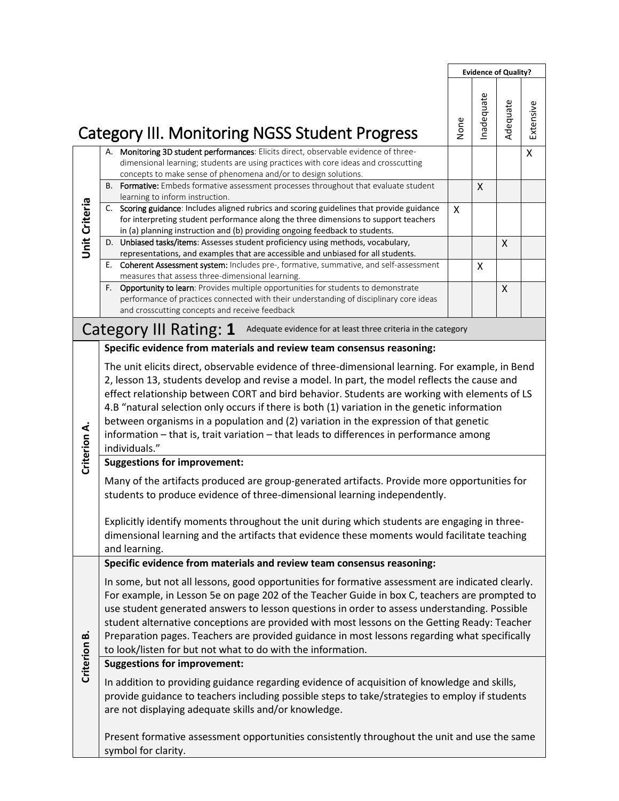|                      |                                                                                                                                                                                                                                                                                                                                                                                                                                                                                                                                                                                                       |      |           | <b>Evidence of Quality?</b> |           |  |  |
|----------------------|-------------------------------------------------------------------------------------------------------------------------------------------------------------------------------------------------------------------------------------------------------------------------------------------------------------------------------------------------------------------------------------------------------------------------------------------------------------------------------------------------------------------------------------------------------------------------------------------------------|------|-----------|-----------------------------|-----------|--|--|
|                      | <b>Category III. Monitoring NGSS Student Progress</b>                                                                                                                                                                                                                                                                                                                                                                                                                                                                                                                                                 | None | nadequate | Adequate                    | Extensive |  |  |
|                      | A. Monitoring 3D student performances: Elicits direct, observable evidence of three-<br>dimensional learning; students are using practices with core ideas and crosscutting<br>concepts to make sense of phenomena and/or to design solutions.                                                                                                                                                                                                                                                                                                                                                        |      |           |                             | X         |  |  |
| <b>Unit Criteria</b> | B. Formative: Embeds formative assessment processes throughout that evaluate student<br>learning to inform instruction.<br>Scoring guidance: Includes aligned rubrics and scoring guidelines that provide guidance<br>C.<br>for interpreting student performance along the three dimensions to support teachers                                                                                                                                                                                                                                                                                       | X    | X         |                             |           |  |  |
|                      | in (a) planning instruction and (b) providing ongoing feedback to students.<br>D. Unbiased tasks/items: Assesses student proficiency using methods, vocabulary,<br>representations, and examples that are accessible and unbiased for all students.                                                                                                                                                                                                                                                                                                                                                   |      |           | X                           |           |  |  |
|                      | E. Coherent Assessment system: Includes pre-, formative, summative, and self-assessment<br>measures that assess three-dimensional learning.<br>F. Opportunity to learn: Provides multiple opportunities for students to demonstrate<br>performance of practices connected with their understanding of disciplinary core ideas<br>and crosscutting concepts and receive feedback                                                                                                                                                                                                                       |      | X         | X                           |           |  |  |
|                      | Category III Rating: 1<br>Adequate evidence for at least three criteria in the category                                                                                                                                                                                                                                                                                                                                                                                                                                                                                                               |      |           |                             |           |  |  |
|                      | Specific evidence from materials and review team consensus reasoning:                                                                                                                                                                                                                                                                                                                                                                                                                                                                                                                                 |      |           |                             |           |  |  |
| Criterion A.         | The unit elicits direct, observable evidence of three-dimensional learning. For example, in Bend<br>2, lesson 13, students develop and revise a model. In part, the model reflects the cause and<br>effect relationship between CORT and bird behavior. Students are working with elements of LS<br>4.B "natural selection only occurs if there is both (1) variation in the genetic information<br>between organisms in a population and (2) variation in the expression of that genetic<br>information - that is, trait variation - that leads to differences in performance among<br>individuals." |      |           |                             |           |  |  |
|                      | <b>Suggestions for improvement:</b><br>Many of the artifacts produced are group-generated artifacts. Provide more opportunities for<br>students to produce evidence of three-dimensional learning independently.<br>Explicitly identify moments throughout the unit during which students are engaging in three-<br>dimensional learning and the artifacts that evidence these moments would facilitate teaching<br>and learning.                                                                                                                                                                     |      |           |                             |           |  |  |
|                      | Specific evidence from materials and review team consensus reasoning:                                                                                                                                                                                                                                                                                                                                                                                                                                                                                                                                 |      |           |                             |           |  |  |
|                      | In some, but not all lessons, good opportunities for formative assessment are indicated clearly.<br>For example, in Lesson 5e on page 202 of the Teacher Guide in box C, teachers are prompted to<br>use student generated answers to lesson questions in order to assess understanding. Possible<br>student alternative conceptions are provided with most lessons on the Getting Ready: Teacher<br>Preparation pages. Teachers are provided guidance in most lessons regarding what specifically<br>to look/listen for but not what to do with the information.                                     |      |           |                             |           |  |  |
| Criterion B.         | <b>Suggestions for improvement:</b><br>In addition to providing guidance regarding evidence of acquisition of knowledge and skills,<br>provide guidance to teachers including possible steps to take/strategies to employ if students<br>are not displaying adequate skills and/or knowledge.                                                                                                                                                                                                                                                                                                         |      |           |                             |           |  |  |
|                      | Present formative assessment opportunities consistently throughout the unit and use the same<br>symbol for clarity.                                                                                                                                                                                                                                                                                                                                                                                                                                                                                   |      |           |                             |           |  |  |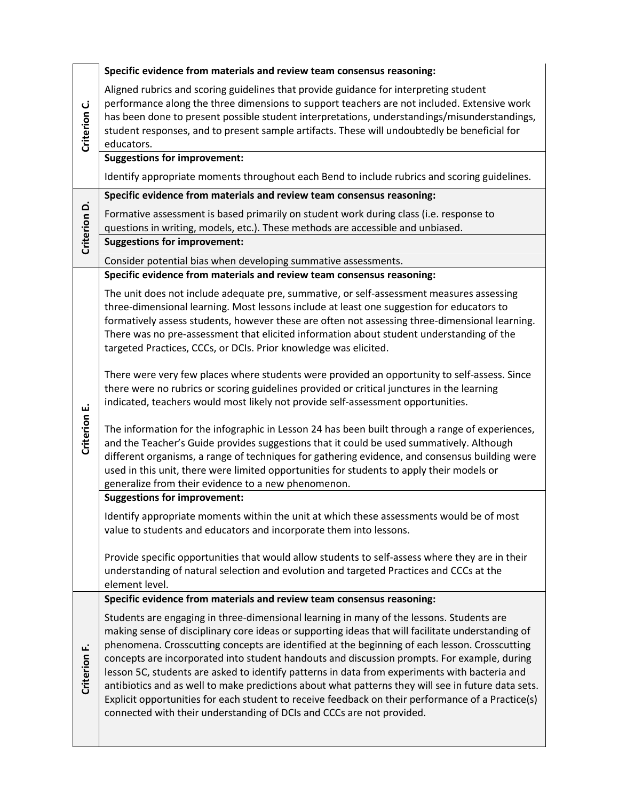|              | Specific evidence from materials and review team consensus reasoning:                                                                                                                                                                                                                                                                                                                                                                                                                                                                                                                                                                                                                                                                                                              |
|--------------|------------------------------------------------------------------------------------------------------------------------------------------------------------------------------------------------------------------------------------------------------------------------------------------------------------------------------------------------------------------------------------------------------------------------------------------------------------------------------------------------------------------------------------------------------------------------------------------------------------------------------------------------------------------------------------------------------------------------------------------------------------------------------------|
| Criterion C. | Aligned rubrics and scoring guidelines that provide guidance for interpreting student<br>performance along the three dimensions to support teachers are not included. Extensive work<br>has been done to present possible student interpretations, understandings/misunderstandings,<br>student responses, and to present sample artifacts. These will undoubtedly be beneficial for<br>educators.                                                                                                                                                                                                                                                                                                                                                                                 |
|              | <b>Suggestions for improvement:</b>                                                                                                                                                                                                                                                                                                                                                                                                                                                                                                                                                                                                                                                                                                                                                |
|              | Identify appropriate moments throughout each Bend to include rubrics and scoring guidelines.                                                                                                                                                                                                                                                                                                                                                                                                                                                                                                                                                                                                                                                                                       |
|              | Specific evidence from materials and review team consensus reasoning:                                                                                                                                                                                                                                                                                                                                                                                                                                                                                                                                                                                                                                                                                                              |
| Criterion D. | Formative assessment is based primarily on student work during class (i.e. response to<br>questions in writing, models, etc.). These methods are accessible and unbiased.                                                                                                                                                                                                                                                                                                                                                                                                                                                                                                                                                                                                          |
|              | <b>Suggestions for improvement:</b>                                                                                                                                                                                                                                                                                                                                                                                                                                                                                                                                                                                                                                                                                                                                                |
|              | Consider potential bias when developing summative assessments.                                                                                                                                                                                                                                                                                                                                                                                                                                                                                                                                                                                                                                                                                                                     |
|              | Specific evidence from materials and review team consensus reasoning:                                                                                                                                                                                                                                                                                                                                                                                                                                                                                                                                                                                                                                                                                                              |
|              | The unit does not include adequate pre, summative, or self-assessment measures assessing<br>three-dimensional learning. Most lessons include at least one suggestion for educators to<br>formatively assess students, however these are often not assessing three-dimensional learning.<br>There was no pre-assessment that elicited information about student understanding of the<br>targeted Practices, CCCs, or DCIs. Prior knowledge was elicited.                                                                                                                                                                                                                                                                                                                            |
|              | There were very few places where students were provided an opportunity to self-assess. Since<br>there were no rubrics or scoring guidelines provided or critical junctures in the learning<br>indicated, teachers would most likely not provide self-assessment opportunities.                                                                                                                                                                                                                                                                                                                                                                                                                                                                                                     |
| Criterion E. | The information for the infographic in Lesson 24 has been built through a range of experiences,<br>and the Teacher's Guide provides suggestions that it could be used summatively. Although<br>different organisms, a range of techniques for gathering evidence, and consensus building were<br>used in this unit, there were limited opportunities for students to apply their models or<br>generalize from their evidence to a new phenomenon.                                                                                                                                                                                                                                                                                                                                  |
|              | <b>Suggestions for improvement:</b>                                                                                                                                                                                                                                                                                                                                                                                                                                                                                                                                                                                                                                                                                                                                                |
|              | Identify appropriate moments within the unit at which these assessments would be of most<br>value to students and educators and incorporate them into lessons.                                                                                                                                                                                                                                                                                                                                                                                                                                                                                                                                                                                                                     |
|              | Provide specific opportunities that would allow students to self-assess where they are in their<br>understanding of natural selection and evolution and targeted Practices and CCCs at the<br>element level.                                                                                                                                                                                                                                                                                                                                                                                                                                                                                                                                                                       |
|              | Specific evidence from materials and review team consensus reasoning:                                                                                                                                                                                                                                                                                                                                                                                                                                                                                                                                                                                                                                                                                                              |
| Criterion F. | Students are engaging in three-dimensional learning in many of the lessons. Students are<br>making sense of disciplinary core ideas or supporting ideas that will facilitate understanding of<br>phenomena. Crosscutting concepts are identified at the beginning of each lesson. Crosscutting<br>concepts are incorporated into student handouts and discussion prompts. For example, during<br>lesson 5C, students are asked to identify patterns in data from experiments with bacteria and<br>antibiotics and as well to make predictions about what patterns they will see in future data sets.<br>Explicit opportunities for each student to receive feedback on their performance of a Practice(s)<br>connected with their understanding of DCIs and CCCs are not provided. |
|              |                                                                                                                                                                                                                                                                                                                                                                                                                                                                                                                                                                                                                                                                                                                                                                                    |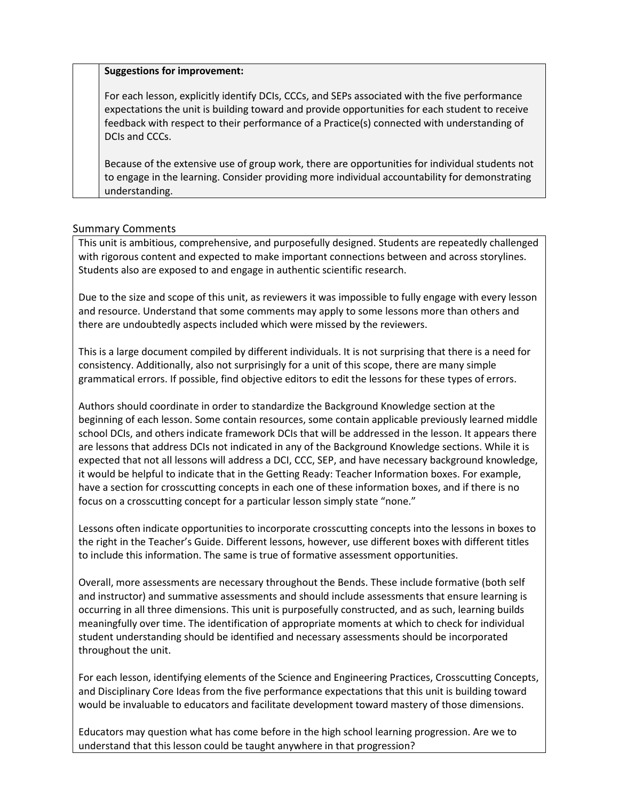#### **Suggestions for improvement:**

For each lesson, explicitly identify DCIs, CCCs, and SEPs associated with the five performance expectations the unit is building toward and provide opportunities for each student to receive feedback with respect to their performance of a Practice(s) connected with understanding of DCIs and CCCs.

Because of the extensive use of group work, there are opportunities for individual students not to engage in the learning. Consider providing more individual accountability for demonstrating understanding.

## Summary Comments

This unit is ambitious, comprehensive, and purposefully designed. Students are repeatedly challenged with rigorous content and expected to make important connections between and across storylines. Students also are exposed to and engage in authentic scientific research.

Due to the size and scope of this unit, as reviewers it was impossible to fully engage with every lesson and resource. Understand that some comments may apply to some lessons more than others and there are undoubtedly aspects included which were missed by the reviewers.

This is a large document compiled by different individuals. It is not surprising that there is a need for consistency. Additionally, also not surprisingly for a unit of this scope, there are many simple grammatical errors. If possible, find objective editors to edit the lessons for these types of errors.

Authors should coordinate in order to standardize the Background Knowledge section at the beginning of each lesson. Some contain resources, some contain applicable previously learned middle school DCIs, and others indicate framework DCIs that will be addressed in the lesson. It appears there are lessons that address DCIs not indicated in any of the Background Knowledge sections. While it is expected that not all lessons will address a DCI, CCC, SEP, and have necessary background knowledge, it would be helpful to indicate that in the Getting Ready: Teacher Information boxes. For example, have a section for crosscutting concepts in each one of these information boxes, and if there is no focus on a crosscutting concept for a particular lesson simply state "none."

Lessons often indicate opportunities to incorporate crosscutting concepts into the lessons in boxes to the right in the Teacher's Guide. Different lessons, however, use different boxes with different titles to include this information. The same is true of formative assessment opportunities.

Overall, more assessments are necessary throughout the Bends. These include formative (both self and instructor) and summative assessments and should include assessments that ensure learning is occurring in all three dimensions. This unit is purposefully constructed, and as such, learning builds meaningfully over time. The identification of appropriate moments at which to check for individual student understanding should be identified and necessary assessments should be incorporated throughout the unit.

For each lesson, identifying elements of the Science and Engineering Practices, Crosscutting Concepts, and Disciplinary Core Ideas from the five performance expectations that this unit is building toward would be invaluable to educators and facilitate development toward mastery of those dimensions.

Educators may question what has come before in the high school learning progression. Are we to understand that this lesson could be taught anywhere in that progression?